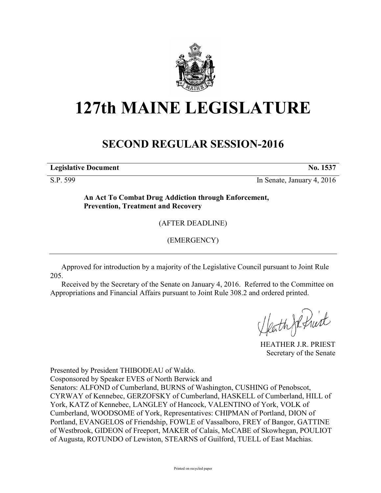

# **127th MAINE LEGISLATURE**

# **SECOND REGULAR SESSION-2016**

**Legislative Document No. 1537**

S.P. 599 In Senate, January 4, 2016

**An Act To Combat Drug Addiction through Enforcement, Prevention, Treatment and Recovery**

(AFTER DEADLINE)

(EMERGENCY)

Approved for introduction by a majority of the Legislative Council pursuant to Joint Rule 205.

Received by the Secretary of the Senate on January 4, 2016. Referred to the Committee on Appropriations and Financial Affairs pursuant to Joint Rule 308.2 and ordered printed.

ath philid

HEATHER J.R. PRIEST Secretary of the Senate

Presented by President THIBODEAU of Waldo.

Cosponsored by Speaker EVES of North Berwick and

Senators: ALFOND of Cumberland, BURNS of Washington, CUSHING of Penobscot, CYRWAY of Kennebec, GERZOFSKY of Cumberland, HASKELL of Cumberland, HILL of York, KATZ of Kennebec, LANGLEY of Hancock, VALENTINO of York, VOLK of Cumberland, WOODSOME of York, Representatives: CHIPMAN of Portland, DION of Portland, EVANGELOS of Friendship, FOWLE of Vassalboro, FREY of Bangor, GATTINE of Westbrook, GIDEON of Freeport, MAKER of Calais, McCABE of Skowhegan, POULIOT of Augusta, ROTUNDO of Lewiston, STEARNS of Guilford, TUELL of East Machias.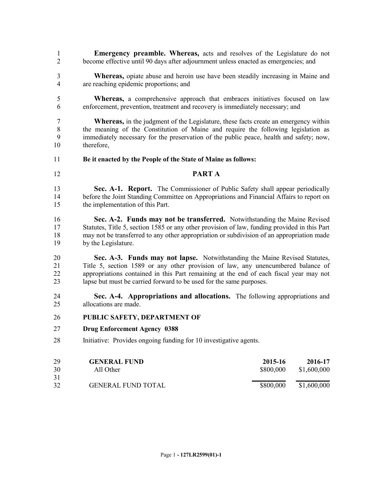- **Emergency preamble. Whereas,** acts and resolves of the Legislature do not become effective until 90 days after adjournment unless enacted as emergencies; and
- **Whereas,** opiate abuse and heroin use have been steadily increasing in Maine and are reaching epidemic proportions; and
- **Whereas,** a comprehensive approach that embraces initiatives focused on law enforcement, prevention, treatment and recovery is immediately necessary; and

 **Whereas,** in the judgment of the Legislature, these facts create an emergency within the meaning of the Constitution of Maine and require the following legislation as immediately necessary for the preservation of the public peace, health and safety; now, therefore,

- **Be it enacted by the People of the State of Maine as follows:**
- **PART A**

 **Sec. A-1. Report.** The Commissioner of Public Safety shall appear periodically before the Joint Standing Committee on Appropriations and Financial Affairs to report on the implementation of this Part.

- **Sec. A-2. Funds may not be transferred.** Notwithstanding the Maine Revised Statutes, Title 5, section 1585 or any other provision of law, funding provided in this Part may not be transferred to any other appropriation or subdivision of an appropriation made by the Legislature.
- **Sec. A-3. Funds may not lapse.** Notwithstanding the Maine Revised Statutes, Title 5, section 1589 or any other provision of law, any unencumbered balance of appropriations contained in this Part remaining at the end of each fiscal year may not lapse but must be carried forward to be used for the same purposes.
- **Sec. A-4. Appropriations and allocations.** The following appropriations and allocations are made.
- **PUBLIC SAFETY, DEPARTMENT OF**
- **Drug Enforcement Agency 0388**
- Initiative: Provides ongoing funding for 10 investigative agents.

| 29 | <b>GENERAL FUND</b>       | 2015-16   | 2016-17     |
|----|---------------------------|-----------|-------------|
| 30 | All Other                 | \$800,000 | \$1,600,000 |
| 31 |                           |           |             |
| 32 | <b>GENERAL FUND TOTAL</b> | \$800,000 | \$1,600,000 |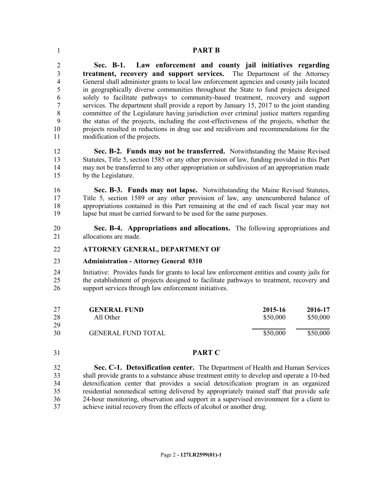#### **PART B**

 **Sec. B-1. Law enforcement and county jail initiatives regarding treatment, recovery and support services.** The Department of the Attorney General shall administer grants to local law enforcement agencies and county jails located in geographically diverse communities throughout the State to fund projects designed solely to facilitate pathways to community-based treatment, recovery and support 7 services. The department shall provide a report by January 15, 2017 to the joint standing<br>8 committee of the Legislature having jurisdiction over criminal justice matters regarding committee of the Legislature having jurisdiction over criminal justice matters regarding the status of the projects, including the cost-effectiveness of the projects, whether the projects resulted in reductions in drug use and recidivism and recommendations for the modification of the projects.

 **Sec. B-2. Funds may not be transferred.** Notwithstanding the Maine Revised Statutes, Title 5, section 1585 or any other provision of law, funding provided in this Part may not be transferred to any other appropriation or subdivision of an appropriation made by the Legislature.

 **Sec. B-3. Funds may not lapse.** Notwithstanding the Maine Revised Statutes, Title 5, section 1589 or any other provision of law, any unencumbered balance of appropriations contained in this Part remaining at the end of each fiscal year may not lapse but must be carried forward to be used for the same purposes.

**Sec. B-4. Appropriations and allocations.** The following appropriations and allocations are made. allocations are made.

#### **ATTORNEY GENERAL, DEPARTMENT OF**

#### **Administration - Attorney General 0310**

 Initiative: Provides funds for grants to local law enforcement entities and county jails for the establishment of projects designed to facilitate pathways to treatment, recovery and support services through law enforcement initiatives.

| 27       | <b>GENERAL FUND</b>       | 2015-16  | 2016-17  |
|----------|---------------------------|----------|----------|
| 28<br>29 | All Other                 | \$50,000 | \$50,000 |
| 30       | <b>GENERAL FUND TOTAL</b> | \$50,000 | \$50,000 |

**PART C**

 **Sec. C-1. Detoxification center.** The Department of Health and Human Services shall provide grants to a substance abuse treatment entity to develop and operate a 10-bed detoxification center that provides a social detoxification program in an organized residential nonmedical setting delivered by appropriately trained staff that provide safe 24-hour monitoring, observation and support in a supervised environment for a client to achieve initial recovery from the effects of alcohol or another drug.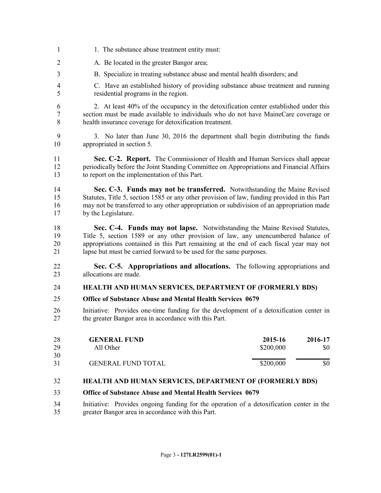- 1. The substance abuse treatment entity must:
- 2 A. Be located in the greater Bangor area;
- B. Specialize in treating substance abuse and mental health disorders; and
- C. Have an established history of providing substance abuse treatment and running residential programs in the region.
- 2. At least 40% of the occupancy in the detoxification center established under this section must be made available to individuals who do not have MaineCare coverage or health insurance coverage for detoxification treatment.
- 3. No later than June 30, 2016 the department shall begin distributing the funds appropriated in section 5.
- **Sec. C-2. Report.** The Commissioner of Health and Human Services shall appear periodically before the Joint Standing Committee on Appropriations and Financial Affairs to report on the implementation of this Part.
- **Sec. C-3. Funds may not be transferred.** Notwithstanding the Maine Revised Statutes, Title 5, section 1585 or any other provision of law, funding provided in this Part may not be transferred to any other appropriation or subdivision of an appropriation made by the Legislature.
- **Sec. C-4. Funds may not lapse.** Notwithstanding the Maine Revised Statutes, Title 5, section 1589 or any other provision of law, any unencumbered balance of appropriations contained in this Part remaining at the end of each fiscal year may not lapse but must be carried forward to be used for the same purposes.
- **Sec. C-5. Appropriations and allocations.** The following appropriations and allocations are made.

# **HEALTH AND HUMAN SERVICES, DEPARTMENT OF (FORMERLY BDS)**

# **Office of Substance Abuse and Mental Health Services 0679**

 Initiative: Provides one-time funding for the development of a detoxification center in the greater Bangor area in accordance with this Part.

| 28 | <b>GENERAL FUND</b>       | 2015-16   | 2016-17 |
|----|---------------------------|-----------|---------|
| 29 | All Other                 | \$200,000 | \$0     |
| 30 |                           |           |         |
| 31 | <b>GENERAL FUND TOTAL</b> | \$200,000 | \$0     |

# **HEALTH AND HUMAN SERVICES, DEPARTMENT OF (FORMERLY BDS)**

# **Office of Substance Abuse and Mental Health Services 0679**

 Initiative: Provides ongoing funding for the operation of a detoxification center in the greater Bangor area in accordance with this Part.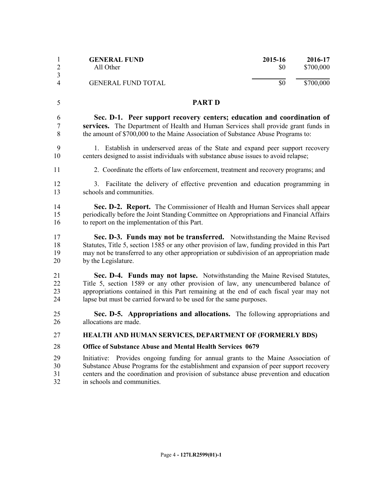| 1<br>$\overline{2}$  | <b>GENERAL FUND</b><br>All Other                                                                                                                                                                                                                                                                                                | 2015-16<br>\$0 | 2016-17<br>\$700,000 |
|----------------------|---------------------------------------------------------------------------------------------------------------------------------------------------------------------------------------------------------------------------------------------------------------------------------------------------------------------------------|----------------|----------------------|
| 3<br>4               | <b>GENERAL FUND TOTAL</b>                                                                                                                                                                                                                                                                                                       | \$0            | \$700,000            |
| 5                    | <b>PART D</b>                                                                                                                                                                                                                                                                                                                   |                |                      |
| 6<br>7<br>8          | Sec. D-1. Peer support recovery centers; education and coordination of<br>services. The Department of Health and Human Services shall provide grant funds in<br>the amount of \$700,000 to the Maine Association of Substance Abuse Programs to:                                                                                |                |                      |
| 9<br>10              | 1. Establish in underserved areas of the State and expand peer support recovery<br>centers designed to assist individuals with substance abuse issues to avoid relapse;                                                                                                                                                         |                |                      |
| 11                   | 2. Coordinate the efforts of law enforcement, treatment and recovery programs; and                                                                                                                                                                                                                                              |                |                      |
| 12<br>13             | 3. Facilitate the delivery of effective prevention and education programming in<br>schools and communities.                                                                                                                                                                                                                     |                |                      |
| 14<br>15<br>16       | Sec. D-2. Report. The Commissioner of Health and Human Services shall appear<br>periodically before the Joint Standing Committee on Appropriations and Financial Affairs<br>to report on the implementation of this Part.                                                                                                       |                |                      |
| 17<br>18<br>19<br>20 | Sec. D-3. Funds may not be transferred. Notwithstanding the Maine Revised<br>Statutes, Title 5, section 1585 or any other provision of law, funding provided in this Part<br>may not be transferred to any other appropriation or subdivision of an appropriation made<br>by the Legislature.                                   |                |                      |
| 21<br>22<br>23<br>24 | Sec. D-4. Funds may not lapse. Notwithstanding the Maine Revised Statutes,<br>Title 5, section 1589 or any other provision of law, any unencumbered balance of<br>appropriations contained in this Part remaining at the end of each fiscal year may not<br>lapse but must be carried forward to be used for the same purposes. |                |                      |
| 25<br>26             | Sec. D-5. Appropriations and allocations. The following appropriations and<br>allocations are made.                                                                                                                                                                                                                             |                |                      |
| 27                   | <b>HEALTH AND HUMAN SERVICES, DEPARTMENT OF (FORMERLY BDS)</b>                                                                                                                                                                                                                                                                  |                |                      |
| 28                   | <b>Office of Substance Abuse and Mental Health Services 0679</b>                                                                                                                                                                                                                                                                |                |                      |
| 29<br>30<br>31       | Initiative: Provides ongoing funding for annual grants to the Maine Association of<br>Substance Abuse Programs for the establishment and expansion of peer support recovery<br>centers and the coordination and provision of substance abuse prevention and education                                                           |                |                      |

in schools and communities.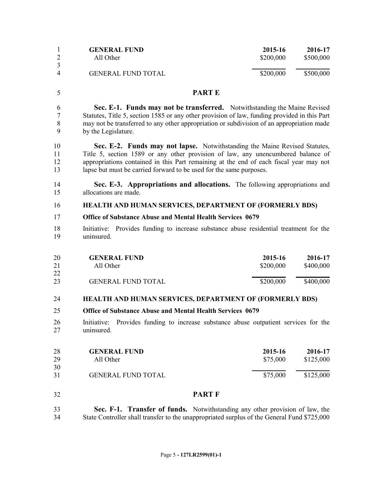| 1<br>$\boldsymbol{2}$            | <b>GENERAL FUND</b><br>All Other                                                                                                                                                                                                                                                                                                | 2015-16<br>\$200,000 | 2016-17<br>\$500,000 |
|----------------------------------|---------------------------------------------------------------------------------------------------------------------------------------------------------------------------------------------------------------------------------------------------------------------------------------------------------------------------------|----------------------|----------------------|
| $\mathfrak{Z}$<br>$\overline{4}$ | <b>GENERAL FUND TOTAL</b>                                                                                                                                                                                                                                                                                                       | \$200,000            | \$500,000            |
| 5                                |                                                                                                                                                                                                                                                                                                                                 | <b>PARTE</b>         |                      |
| 6<br>7<br>$8\,$<br>9             | Sec. E-1. Funds may not be transferred. Notwithstanding the Maine Revised<br>Statutes, Title 5, section 1585 or any other provision of law, funding provided in this Part<br>may not be transferred to any other appropriation or subdivision of an appropriation made<br>by the Legislature.                                   |                      |                      |
| 10<br>11<br>12<br>13             | Sec. E-2. Funds may not lapse. Notwithstanding the Maine Revised Statutes,<br>Title 5, section 1589 or any other provision of law, any unencumbered balance of<br>appropriations contained in this Part remaining at the end of each fiscal year may not<br>lapse but must be carried forward to be used for the same purposes. |                      |                      |
| 14<br>15                         | Sec. E-3. Appropriations and allocations. The following appropriations and<br>allocations are made.                                                                                                                                                                                                                             |                      |                      |
| 16                               | <b>HEALTH AND HUMAN SERVICES, DEPARTMENT OF (FORMERLY BDS)</b>                                                                                                                                                                                                                                                                  |                      |                      |
| 17                               | <b>Office of Substance Abuse and Mental Health Services 0679</b>                                                                                                                                                                                                                                                                |                      |                      |
| 18<br>19                         | Initiative: Provides funding to increase substance abuse residential treatment for the<br>uninsured.                                                                                                                                                                                                                            |                      |                      |
| 20<br>21<br>22                   | <b>GENERAL FUND</b><br>All Other                                                                                                                                                                                                                                                                                                | 2015-16<br>\$200,000 | 2016-17<br>\$400,000 |
| 23                               | <b>GENERAL FUND TOTAL</b>                                                                                                                                                                                                                                                                                                       | \$200,000            | \$400,000            |
| 24                               | HEALTH AND HUMAN SERVICES, DEPARTMENT OF (FORMERLY BDS)                                                                                                                                                                                                                                                                         |                      |                      |
| 25                               | <b>Office of Substance Abuse and Mental Health Services 0679</b>                                                                                                                                                                                                                                                                |                      |                      |
| 26<br>27                         | Initiative: Provides funding to increase substance abuse outpatient services for the<br>uninsured.                                                                                                                                                                                                                              |                      |                      |
| 28<br>29<br>30                   | <b>GENERAL FUND</b><br>All Other                                                                                                                                                                                                                                                                                                | 2015-16<br>\$75,000  | 2016-17<br>\$125,000 |
| 31                               | <b>GENERAL FUND TOTAL</b>                                                                                                                                                                                                                                                                                                       | \$75,000             | \$125,000            |
| 32                               |                                                                                                                                                                                                                                                                                                                                 | <b>PART F</b>        |                      |
| 33<br>34                         | Sec. F-1. Transfer of funds. Notwithstanding any other provision of law, the<br>State Controller shall transfer to the unappropriated surplus of the General Fund \$725,000                                                                                                                                                     |                      |                      |